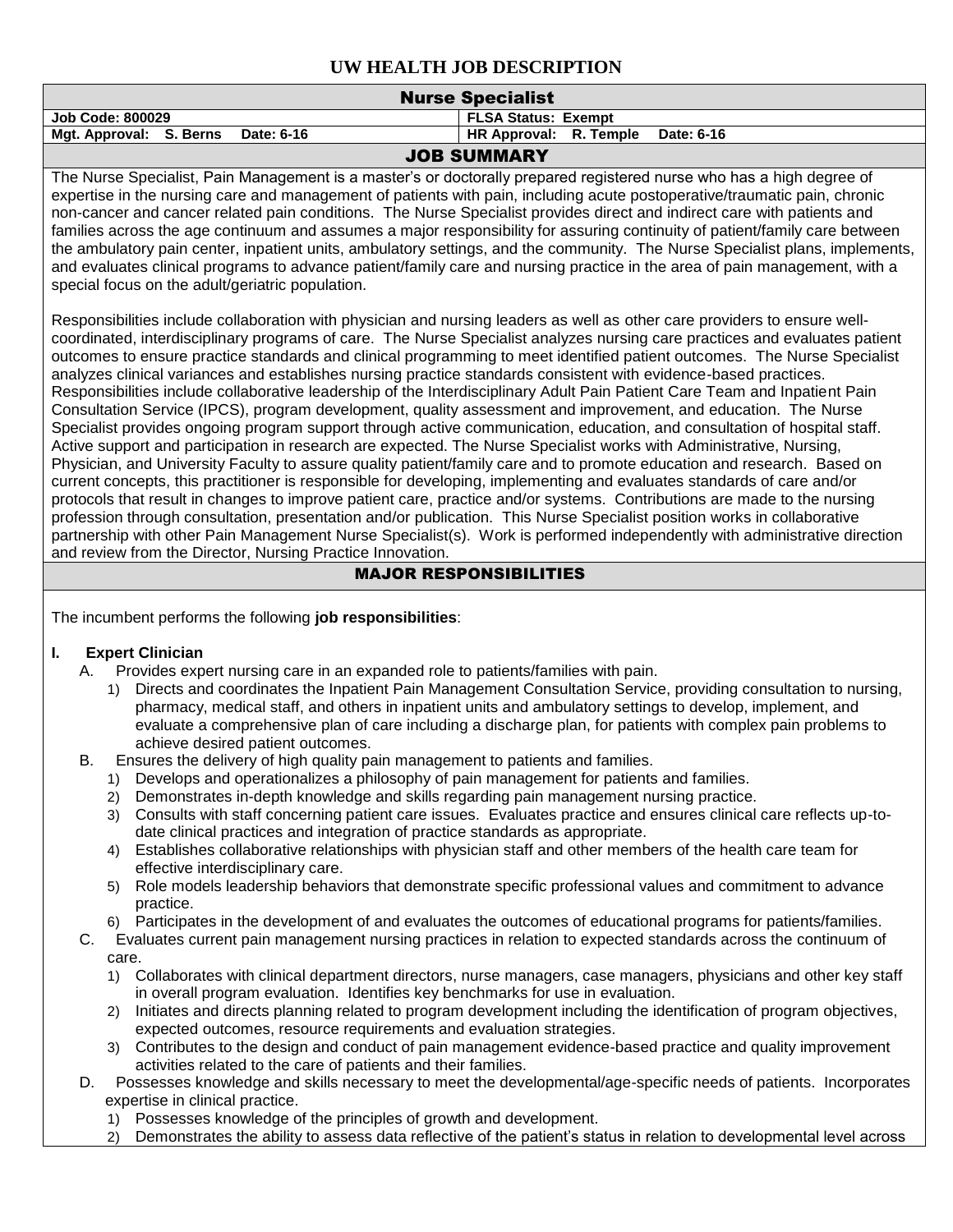| <b>Nurse Specialist</b>                                                                                                                                                                                                                                                                                                                                                                                                                                                                                                                                                                                                                                                                                                                                                                                                                                                                                                                                                                                                                                                                                                                                                                                                                                                                                                                                                                                                                                                                                                                                                                                                                                                                                            |                                                                                                                                                                                                                                                                                                                                                                                                                                                                                                                                                                               |  |  |  |  |  |  |  |
|--------------------------------------------------------------------------------------------------------------------------------------------------------------------------------------------------------------------------------------------------------------------------------------------------------------------------------------------------------------------------------------------------------------------------------------------------------------------------------------------------------------------------------------------------------------------------------------------------------------------------------------------------------------------------------------------------------------------------------------------------------------------------------------------------------------------------------------------------------------------------------------------------------------------------------------------------------------------------------------------------------------------------------------------------------------------------------------------------------------------------------------------------------------------------------------------------------------------------------------------------------------------------------------------------------------------------------------------------------------------------------------------------------------------------------------------------------------------------------------------------------------------------------------------------------------------------------------------------------------------------------------------------------------------------------------------------------------------|-------------------------------------------------------------------------------------------------------------------------------------------------------------------------------------------------------------------------------------------------------------------------------------------------------------------------------------------------------------------------------------------------------------------------------------------------------------------------------------------------------------------------------------------------------------------------------|--|--|--|--|--|--|--|
| <b>Job Code: 800029</b>                                                                                                                                                                                                                                                                                                                                                                                                                                                                                                                                                                                                                                                                                                                                                                                                                                                                                                                                                                                                                                                                                                                                                                                                                                                                                                                                                                                                                                                                                                                                                                                                                                                                                            | <b>FLSA Status: Exempt</b>                                                                                                                                                                                                                                                                                                                                                                                                                                                                                                                                                    |  |  |  |  |  |  |  |
| Mgt. Approval: S. Berns<br>Date: 6-16                                                                                                                                                                                                                                                                                                                                                                                                                                                                                                                                                                                                                                                                                                                                                                                                                                                                                                                                                                                                                                                                                                                                                                                                                                                                                                                                                                                                                                                                                                                                                                                                                                                                              | HR Approval: R. Temple<br>Date: 6-16                                                                                                                                                                                                                                                                                                                                                                                                                                                                                                                                          |  |  |  |  |  |  |  |
|                                                                                                                                                                                                                                                                                                                                                                                                                                                                                                                                                                                                                                                                                                                                                                                                                                                                                                                                                                                                                                                                                                                                                                                                                                                                                                                                                                                                                                                                                                                                                                                                                                                                                                                    | <b>JOB SUMMARY</b>                                                                                                                                                                                                                                                                                                                                                                                                                                                                                                                                                            |  |  |  |  |  |  |  |
| The Nurse Specialist, Pain Management is a master's or doctorally prepared registered nurse who has a high degree of<br>expertise in the nursing care and management of patients with pain, including acute postoperative/traumatic pain, chronic<br>non-cancer and cancer related pain conditions. The Nurse Specialist provides direct and indirect care with patients and<br>families across the age continuum and assumes a major responsibility for assuring continuity of patient/family care between<br>the ambulatory pain center, inpatient units, ambulatory settings, and the community. The Nurse Specialist plans, implements,<br>and evaluates clinical programs to advance patient/family care and nursing practice in the area of pain management, with a<br>special focus on the adult/geriatric population.                                                                                                                                                                                                                                                                                                                                                                                                                                                                                                                                                                                                                                                                                                                                                                                                                                                                                      |                                                                                                                                                                                                                                                                                                                                                                                                                                                                                                                                                                               |  |  |  |  |  |  |  |
| Responsibilities include collaboration with physician and nursing leaders as well as other care providers to ensure well-<br>coordinated, interdisciplinary programs of care. The Nurse Specialist analyzes nursing care practices and evaluates patient<br>outcomes to ensure practice standards and clinical programming to meet identified patient outcomes. The Nurse Specialist<br>analyzes clinical variances and establishes nursing practice standards consistent with evidence-based practices.<br>Responsibilities include collaborative leadership of the Interdisciplinary Adult Pain Patient Care Team and Inpatient Pain<br>Consultation Service (IPCS), program development, quality assessment and improvement, and education. The Nurse<br>Specialist provides ongoing program support through active communication, education, and consultation of hospital staff.<br>Active support and participation in research are expected. The Nurse Specialist works with Administrative, Nursing,<br>Physician, and University Faculty to assure quality patient/family care and to promote education and research. Based on<br>current concepts, this practitioner is responsible for developing, implementing and evaluates standards of care and/or<br>protocols that result in changes to improve patient care, practice and/or systems. Contributions are made to the nursing<br>profession through consultation, presentation and/or publication. This Nurse Specialist position works in collaborative<br>partnership with other Pain Management Nurse Specialist(s). Work is performed independently with administrative direction<br>and review from the Director, Nursing Practice Innovation. |                                                                                                                                                                                                                                                                                                                                                                                                                                                                                                                                                                               |  |  |  |  |  |  |  |
|                                                                                                                                                                                                                                                                                                                                                                                                                                                                                                                                                                                                                                                                                                                                                                                                                                                                                                                                                                                                                                                                                                                                                                                                                                                                                                                                                                                                                                                                                                                                                                                                                                                                                                                    | <b>MAJOR RESPONSIBILITIES</b>                                                                                                                                                                                                                                                                                                                                                                                                                                                                                                                                                 |  |  |  |  |  |  |  |
| The incumbent performs the following job responsibilities:                                                                                                                                                                                                                                                                                                                                                                                                                                                                                                                                                                                                                                                                                                                                                                                                                                                                                                                                                                                                                                                                                                                                                                                                                                                                                                                                                                                                                                                                                                                                                                                                                                                         |                                                                                                                                                                                                                                                                                                                                                                                                                                                                                                                                                                               |  |  |  |  |  |  |  |
| I.<br><b>Expert Clinician</b><br>Provides expert nursing care in an expanded role to patients/families with pain.<br>А.<br>1)<br>achieve desired patient outcomes.<br>В.<br>Ensures the delivery of high quality pain management to patients and families.<br>Develops and operationalizes a philosophy of pain management for patients and families.<br>1)<br>Demonstrates in-depth knowledge and skills regarding pain management nursing practice.<br>2)<br>3)<br>date clinical practices and integration of practice standards as appropriate.<br>4)<br>effective interdisciplinary care.                                                                                                                                                                                                                                                                                                                                                                                                                                                                                                                                                                                                                                                                                                                                                                                                                                                                                                                                                                                                                                                                                                                      | Directs and coordinates the Inpatient Pain Management Consultation Service, providing consultation to nursing,<br>pharmacy, medical staff, and others in inpatient units and ambulatory settings to develop, implement, and<br>evaluate a comprehensive plan of care including a discharge plan, for patients with complex pain problems to<br>Consults with staff concerning patient care issues. Evaluates practice and ensures clinical care reflects up-to-<br>Establishes collaborative relationships with physician staff and other members of the health care team for |  |  |  |  |  |  |  |

5) Role models leadership behaviors that demonstrate specific professional values and commitment to advance practice.

6) Participates in the development of and evaluates the outcomes of educational programs for patients/families.

- C. Evaluates current pain management nursing practices in relation to expected standards across the continuum of care.
	- 1) Collaborates with clinical department directors, nurse managers, case managers, physicians and other key staff in overall program evaluation. Identifies key benchmarks for use in evaluation.
	- 2) Initiates and directs planning related to program development including the identification of program objectives, expected outcomes, resource requirements and evaluation strategies.
	- 3) Contributes to the design and conduct of pain management evidence-based practice and quality improvement activities related to the care of patients and their families.
- D. Possesses knowledge and skills necessary to meet the developmental/age-specific needs of patients. Incorporates expertise in clinical practice.
	- 1) Possesses knowledge of the principles of growth and development.
	- 2) Demonstrates the ability to assess data reflective of the patient's status in relation to developmental level across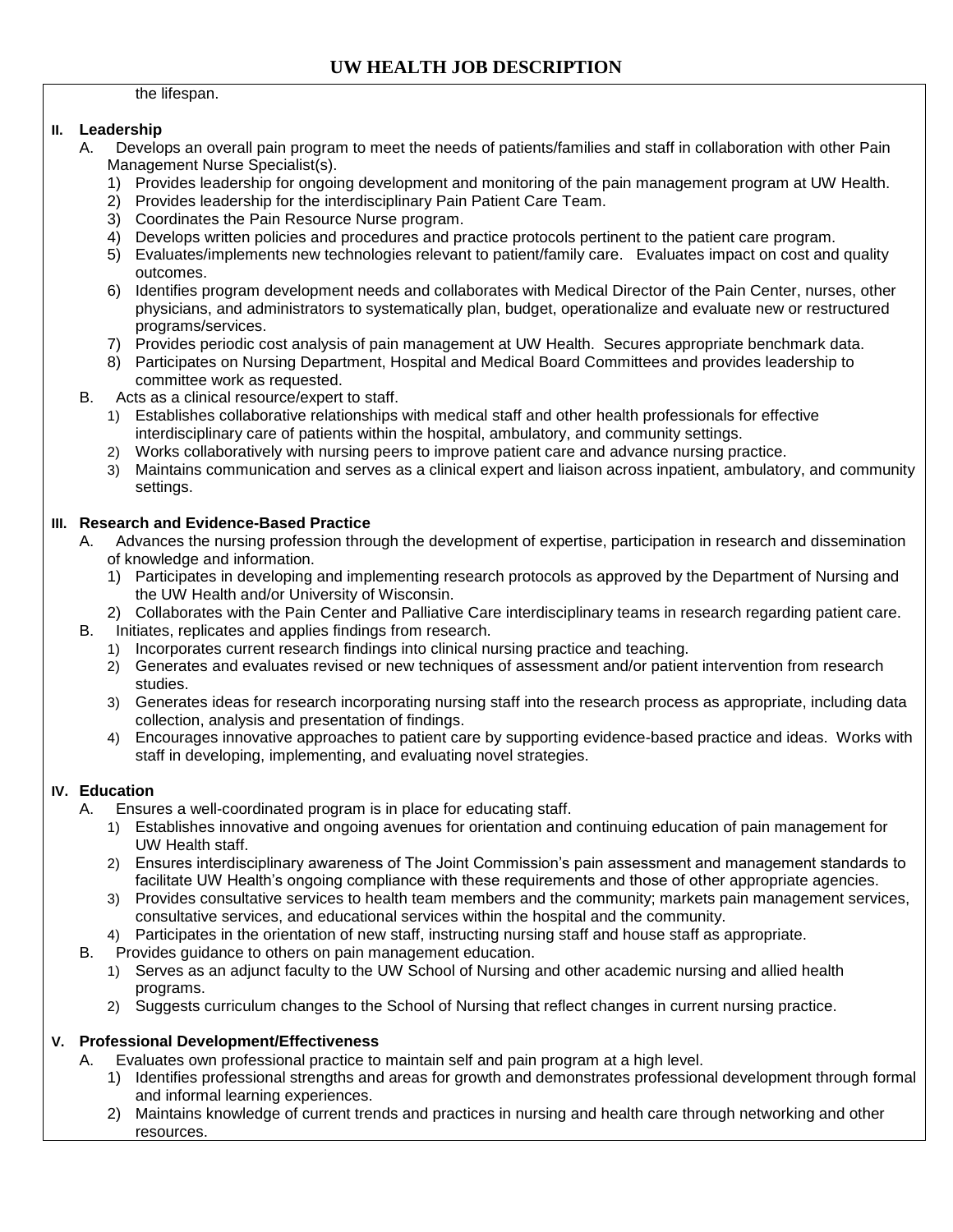the lifespan.

#### **II. Leadership**

- A. Develops an overall pain program to meet the needs of patients/families and staff in collaboration with other Pain Management Nurse Specialist(s).
	- 1) Provides leadership for ongoing development and monitoring of the pain management program at UW Health.
	- 2) Provides leadership for the interdisciplinary Pain Patient Care Team.
	- 3) Coordinates the Pain Resource Nurse program.
	- 4) Develops written policies and procedures and practice protocols pertinent to the patient care program.
	- 5) Evaluates/implements new technologies relevant to patient/family care. Evaluates impact on cost and quality outcomes.
	- 6) Identifies program development needs and collaborates with Medical Director of the Pain Center, nurses, other physicians, and administrators to systematically plan, budget, operationalize and evaluate new or restructured programs/services.
	- 7) Provides periodic cost analysis of pain management at UW Health. Secures appropriate benchmark data.
	- 8) Participates on Nursing Department, Hospital and Medical Board Committees and provides leadership to committee work as requested.
- B. Acts as a clinical resource/expert to staff.
	- 1) Establishes collaborative relationships with medical staff and other health professionals for effective interdisciplinary care of patients within the hospital, ambulatory, and community settings.
	- 2) Works collaboratively with nursing peers to improve patient care and advance nursing practice.
	- 3) Maintains communication and serves as a clinical expert and liaison across inpatient, ambulatory, and community settings.

#### **III. Research and Evidence-Based Practice**

- A. Advances the nursing profession through the development of expertise, participation in research and dissemination of knowledge and information.
	- 1) Participates in developing and implementing research protocols as approved by the Department of Nursing and the UW Health and/or University of Wisconsin.
- 2) Collaborates with the Pain Center and Palliative Care interdisciplinary teams in research regarding patient care. B. Initiates, replicates and applies findings from research.
	- 1) Incorporates current research findings into clinical nursing practice and teaching.
	- 2) Generates and evaluates revised or new techniques of assessment and/or patient intervention from research studies.
	- 3) Generates ideas for research incorporating nursing staff into the research process as appropriate, including data collection, analysis and presentation of findings.
	- 4) Encourages innovative approaches to patient care by supporting evidence-based practice and ideas. Works with staff in developing, implementing, and evaluating novel strategies.

### **IV. Education**

- A. Ensures a well-coordinated program is in place for educating staff.
	- 1) Establishes innovative and ongoing avenues for orientation and continuing education of pain management for UW Health staff.
	- 2) Ensures interdisciplinary awareness of The Joint Commission's pain assessment and management standards to facilitate UW Health's ongoing compliance with these requirements and those of other appropriate agencies.
	- 3) Provides consultative services to health team members and the community; markets pain management services, consultative services, and educational services within the hospital and the community.
	- 4) Participates in the orientation of new staff, instructing nursing staff and house staff as appropriate.
- B. Provides guidance to others on pain management education.
	- 1) Serves as an adjunct faculty to the UW School of Nursing and other academic nursing and allied health programs.
	- 2) Suggests curriculum changes to the School of Nursing that reflect changes in current nursing practice.

### **V. Professional Development/Effectiveness**

A. Evaluates own professional practice to maintain self and pain program at a high level.

- 1) Identifies professional strengths and areas for growth and demonstrates professional development through formal and informal learning experiences.
- 2) Maintains knowledge of current trends and practices in nursing and health care through networking and other resources.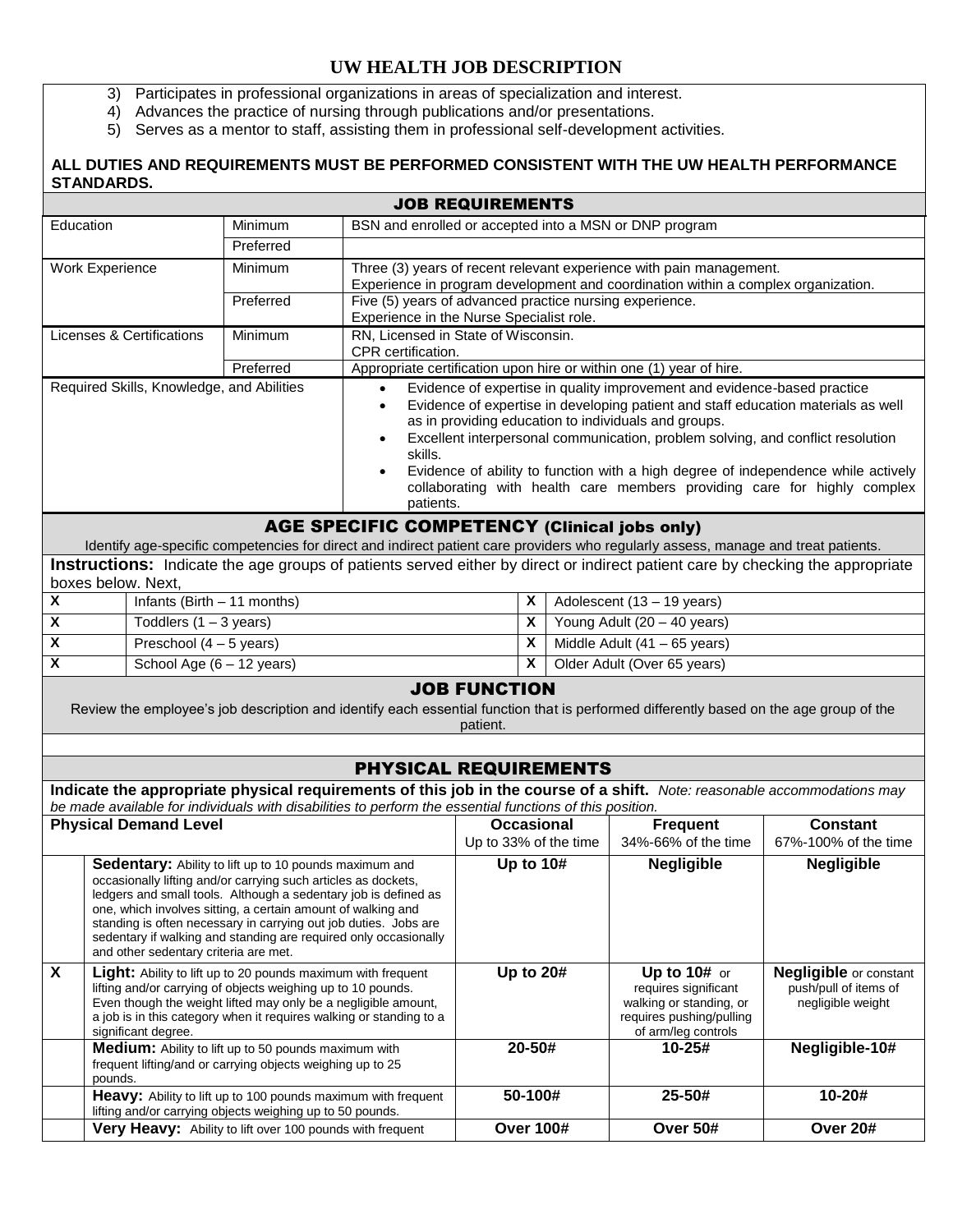- 3) Participates in professional organizations in areas of specialization and interest.
- 4) Advances the practice of nursing through publications and/or presentations.
- 5) Serves as a mentor to staff, assisting them in professional self-development activities.

### **ALL DUTIES AND REQUIREMENTS MUST BE PERFORMED CONSISTENT WITH THE UW HEALTH PERFORMANCE STANDARDS.**

| <b>JOB REQUIREMENTS</b>                                                                                                                                                   |                                                                                |                                                                                                                    |                                                                                                                            |                                                                     |                                                                                   |                                                                                                                                                 |                               |                                                                                                                          |                                                                                   |  |  |
|---------------------------------------------------------------------------------------------------------------------------------------------------------------------------|--------------------------------------------------------------------------------|--------------------------------------------------------------------------------------------------------------------|----------------------------------------------------------------------------------------------------------------------------|---------------------------------------------------------------------|-----------------------------------------------------------------------------------|-------------------------------------------------------------------------------------------------------------------------------------------------|-------------------------------|--------------------------------------------------------------------------------------------------------------------------|-----------------------------------------------------------------------------------|--|--|
|                                                                                                                                                                           | Education<br>Minimum<br>BSN and enrolled or accepted into a MSN or DNP program |                                                                                                                    |                                                                                                                            |                                                                     |                                                                                   |                                                                                                                                                 |                               |                                                                                                                          |                                                                                   |  |  |
|                                                                                                                                                                           |                                                                                |                                                                                                                    | Preferred                                                                                                                  |                                                                     |                                                                                   |                                                                                                                                                 |                               |                                                                                                                          |                                                                                   |  |  |
|                                                                                                                                                                           | <b>Work Experience</b>                                                         |                                                                                                                    | Minimum                                                                                                                    | Three (3) years of recent relevant experience with pain management. |                                                                                   |                                                                                                                                                 |                               |                                                                                                                          |                                                                                   |  |  |
|                                                                                                                                                                           |                                                                                |                                                                                                                    | Preferred                                                                                                                  |                                                                     | Experience in program development and coordination within a complex organization. |                                                                                                                                                 |                               |                                                                                                                          |                                                                                   |  |  |
| Five (5) years of advanced practice nursing experience.<br>Experience in the Nurse Specialist role.                                                                       |                                                                                |                                                                                                                    |                                                                                                                            |                                                                     |                                                                                   |                                                                                                                                                 |                               |                                                                                                                          |                                                                                   |  |  |
| RN, Licensed in State of Wisconsin.<br>Licenses & Certifications<br>Minimum                                                                                               |                                                                                |                                                                                                                    |                                                                                                                            |                                                                     |                                                                                   |                                                                                                                                                 |                               |                                                                                                                          |                                                                                   |  |  |
| CPR certification.                                                                                                                                                        |                                                                                |                                                                                                                    |                                                                                                                            |                                                                     |                                                                                   |                                                                                                                                                 |                               |                                                                                                                          |                                                                                   |  |  |
| Preferred<br>Required Skills, Knowledge, and Abilities                                                                                                                    |                                                                                |                                                                                                                    |                                                                                                                            |                                                                     |                                                                                   | Appropriate certification upon hire or within one (1) year of hire.<br>Evidence of expertise in quality improvement and evidence-based practice |                               |                                                                                                                          |                                                                                   |  |  |
|                                                                                                                                                                           |                                                                                |                                                                                                                    |                                                                                                                            | $\bullet$<br>$\bullet$                                              |                                                                                   |                                                                                                                                                 |                               | Evidence of expertise in developing patient and staff education materials as well                                        |                                                                                   |  |  |
|                                                                                                                                                                           |                                                                                |                                                                                                                    |                                                                                                                            |                                                                     |                                                                                   |                                                                                                                                                 |                               | as in providing education to individuals and groups.                                                                     |                                                                                   |  |  |
|                                                                                                                                                                           |                                                                                |                                                                                                                    |                                                                                                                            |                                                                     |                                                                                   |                                                                                                                                                 |                               | Excellent interpersonal communication, problem solving, and conflict resolution                                          |                                                                                   |  |  |
|                                                                                                                                                                           |                                                                                |                                                                                                                    |                                                                                                                            | skills.                                                             |                                                                                   |                                                                                                                                                 |                               |                                                                                                                          |                                                                                   |  |  |
|                                                                                                                                                                           |                                                                                |                                                                                                                    |                                                                                                                            |                                                                     |                                                                                   |                                                                                                                                                 |                               |                                                                                                                          | Evidence of ability to function with a high degree of independence while actively |  |  |
| collaborating with health care members providing care for highly complex<br>patients.                                                                                     |                                                                                |                                                                                                                    |                                                                                                                            |                                                                     |                                                                                   |                                                                                                                                                 |                               |                                                                                                                          |                                                                                   |  |  |
|                                                                                                                                                                           | <b>AGE SPECIFIC COMPETENCY (Clinical jobs only)</b>                            |                                                                                                                    |                                                                                                                            |                                                                     |                                                                                   |                                                                                                                                                 |                               |                                                                                                                          |                                                                                   |  |  |
| Identify age-specific competencies for direct and indirect patient care providers who regularly assess, manage and treat patients.                                        |                                                                                |                                                                                                                    |                                                                                                                            |                                                                     |                                                                                   |                                                                                                                                                 |                               |                                                                                                                          |                                                                                   |  |  |
| Instructions: Indicate the age groups of patients served either by direct or indirect patient care by checking the appropriate                                            |                                                                                |                                                                                                                    |                                                                                                                            |                                                                     |                                                                                   |                                                                                                                                                 |                               |                                                                                                                          |                                                                                   |  |  |
| X                                                                                                                                                                         |                                                                                | boxes below. Next,<br>Infants (Birth $-11$ months)                                                                 |                                                                                                                            |                                                                     |                                                                                   |                                                                                                                                                 |                               |                                                                                                                          |                                                                                   |  |  |
|                                                                                                                                                                           |                                                                                |                                                                                                                    |                                                                                                                            |                                                                     |                                                                                   |                                                                                                                                                 |                               | Adolescent (13 - 19 years)                                                                                               |                                                                                   |  |  |
| Toddlers $(1 - 3$ years)<br>X<br>$\pmb{\chi}$                                                                                                                             |                                                                                |                                                                                                                    |                                                                                                                            |                                                                     |                                                                                   |                                                                                                                                                 |                               | Young Adult (20 - 40 years)                                                                                              |                                                                                   |  |  |
| $\overline{\mathbf{x}}$                                                                                                                                                   |                                                                                | Preschool $(4 - 5$ years)<br>School Age (6 - 12 years)                                                             |                                                                                                                            |                                                                     |                                                                                   | X<br>X                                                                                                                                          |                               | Middle Adult $(41 - 65$ years)<br>Older Adult (Over 65 years)                                                            |                                                                                   |  |  |
|                                                                                                                                                                           |                                                                                |                                                                                                                    |                                                                                                                            |                                                                     |                                                                                   |                                                                                                                                                 |                               |                                                                                                                          |                                                                                   |  |  |
| <b>JOB FUNCTION</b><br>Review the employee's job description and identify each essential function that is performed differently based on the age group of the<br>patient. |                                                                                |                                                                                                                    |                                                                                                                            |                                                                     |                                                                                   |                                                                                                                                                 |                               |                                                                                                                          |                                                                                   |  |  |
|                                                                                                                                                                           |                                                                                |                                                                                                                    |                                                                                                                            |                                                                     |                                                                                   |                                                                                                                                                 |                               |                                                                                                                          |                                                                                   |  |  |
|                                                                                                                                                                           |                                                                                |                                                                                                                    |                                                                                                                            | <b>PHYSICAL REQUIREMENTS</b>                                        |                                                                                   |                                                                                                                                                 |                               |                                                                                                                          |                                                                                   |  |  |
|                                                                                                                                                                           |                                                                                |                                                                                                                    | be made available for individuals with disabilities to perform the essential functions of this position.                   |                                                                     |                                                                                   |                                                                                                                                                 |                               | Indicate the appropriate physical requirements of this job in the course of a shift. Note: reasonable accommodations may |                                                                                   |  |  |
|                                                                                                                                                                           |                                                                                | <b>Physical Demand Level</b>                                                                                       |                                                                                                                            |                                                                     |                                                                                   |                                                                                                                                                 | <b>Occasional</b>             | <b>Frequent</b>                                                                                                          | <b>Constant</b>                                                                   |  |  |
|                                                                                                                                                                           |                                                                                |                                                                                                                    |                                                                                                                            |                                                                     |                                                                                   |                                                                                                                                                 | Up to 33% of the time         | 34%-66% of the time                                                                                                      | 67%-100% of the time                                                              |  |  |
| Sedentary: Ability to lift up to 10 pounds maximum and                                                                                                                    |                                                                                |                                                                                                                    |                                                                                                                            |                                                                     | Up to 10#                                                                         |                                                                                                                                                 |                               | <b>Negligible</b>                                                                                                        | <b>Negligible</b>                                                                 |  |  |
| occasionally lifting and/or carrying such articles as dockets,                                                                                                            |                                                                                |                                                                                                                    |                                                                                                                            |                                                                     |                                                                                   |                                                                                                                                                 |                               |                                                                                                                          |                                                                                   |  |  |
| ledgers and small tools. Although a sedentary job is defined as<br>one, which involves sitting, a certain amount of walking and                                           |                                                                                |                                                                                                                    |                                                                                                                            |                                                                     |                                                                                   |                                                                                                                                                 |                               |                                                                                                                          |                                                                                   |  |  |
| standing is often necessary in carrying out job duties. Jobs are                                                                                                          |                                                                                |                                                                                                                    |                                                                                                                            |                                                                     |                                                                                   |                                                                                                                                                 |                               |                                                                                                                          |                                                                                   |  |  |
| sedentary if walking and standing are required only occasionally<br>and other sedentary criteria are met.                                                                 |                                                                                |                                                                                                                    |                                                                                                                            |                                                                     |                                                                                   |                                                                                                                                                 |                               |                                                                                                                          |                                                                                   |  |  |
| X                                                                                                                                                                         | Light: Ability to lift up to 20 pounds maximum with frequent                   |                                                                                                                    |                                                                                                                            | Up to 20#                                                           |                                                                                   | Up to $10#$ or                                                                                                                                  | <b>Negligible</b> or constant |                                                                                                                          |                                                                                   |  |  |
|                                                                                                                                                                           |                                                                                |                                                                                                                    | lifting and/or carrying of objects weighing up to 10 pounds.                                                               |                                                                     |                                                                                   |                                                                                                                                                 |                               | requires significant                                                                                                     | push/pull of items of                                                             |  |  |
| Even though the weight lifted may only be a negligible amount,                                                                                                            |                                                                                |                                                                                                                    |                                                                                                                            | a job is in this category when it requires walking or standing to a |                                                                                   |                                                                                                                                                 |                               | walking or standing, or<br>requires pushing/pulling                                                                      | negligible weight                                                                 |  |  |
|                                                                                                                                                                           |                                                                                | significant degree.                                                                                                |                                                                                                                            |                                                                     |                                                                                   |                                                                                                                                                 |                               | of arm/leg controls                                                                                                      |                                                                                   |  |  |
|                                                                                                                                                                           |                                                                                | Medium: Ability to lift up to 50 pounds maximum with<br>frequent lifting/and or carrying objects weighing up to 25 |                                                                                                                            |                                                                     | 20-50#                                                                            |                                                                                                                                                 | $10 - 25#$                    | Negligible-10#                                                                                                           |                                                                                   |  |  |
|                                                                                                                                                                           | pounds.                                                                        |                                                                                                                    |                                                                                                                            |                                                                     |                                                                                   |                                                                                                                                                 |                               |                                                                                                                          |                                                                                   |  |  |
|                                                                                                                                                                           |                                                                                |                                                                                                                    | Heavy: Ability to lift up to 100 pounds maximum with frequent<br>lifting and/or carrying objects weighing up to 50 pounds. |                                                                     | 50-100#                                                                           |                                                                                                                                                 |                               | 25-50#                                                                                                                   | 10-20#                                                                            |  |  |
|                                                                                                                                                                           |                                                                                |                                                                                                                    | Very Heavy: Ability to lift over 100 pounds with frequent                                                                  |                                                                     |                                                                                   | <b>Over 100#</b>                                                                                                                                |                               | <b>Over 50#</b>                                                                                                          | <b>Over 20#</b>                                                                   |  |  |